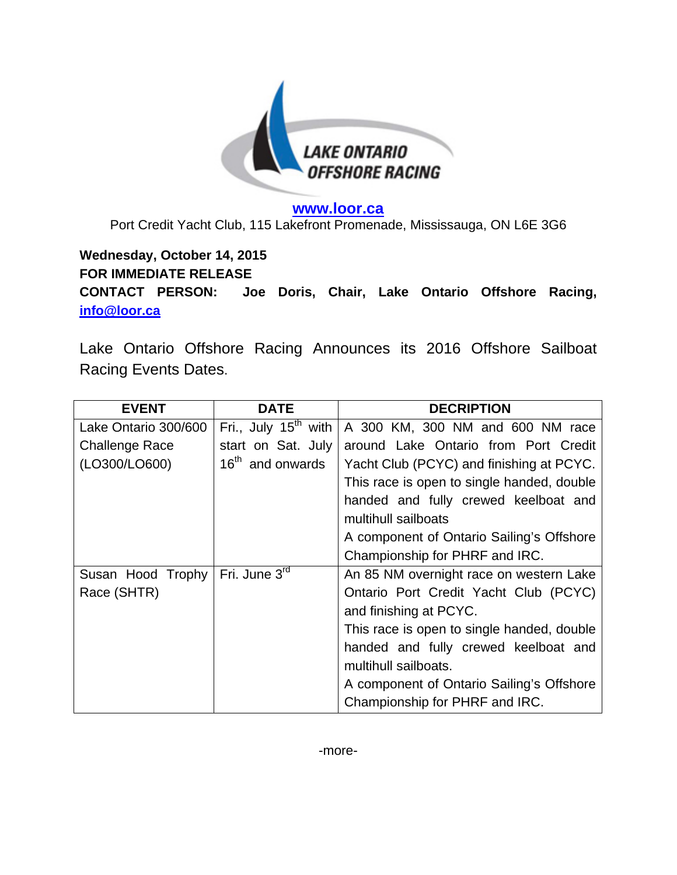

**www.loor.ca**  Port Credit Yacht Club, 115 Lakefront Promenade, Mississauga, ON L6E 3G6

## **Wednesday, October 14, 2015 FOR IMMEDIATE RELEASE CONTACT PERSON: Joe Doris, Chair, Lake Ontario Offshore Racing, info@loor.ca**

Lake Ontario Offshore Racing Announces its 2016 Offshore Sailboat Racing Events Dates.

| <b>EVENT</b>          | <b>DATE</b>                      | <b>DECRIPTION</b>                          |
|-----------------------|----------------------------------|--------------------------------------------|
| Lake Ontario 300/600  | Fri., July 15 <sup>th</sup> with | A 300 KM, 300 NM and 600 NM race           |
| <b>Challenge Race</b> | start on Sat. July               | around Lake Ontario from Port Credit       |
| (LO300/LO600)         | 16 <sup>th</sup> and onwards     | Yacht Club (PCYC) and finishing at PCYC.   |
|                       |                                  | This race is open to single handed, double |
|                       |                                  | handed and fully crewed keelboat and       |
|                       |                                  | multihull sailboats                        |
|                       |                                  | A component of Ontario Sailing's Offshore  |
|                       |                                  | Championship for PHRF and IRC.             |
| Susan Hood Trophy     | Fri. June 3rd                    | An 85 NM overnight race on western Lake    |
| Race (SHTR)           |                                  | Ontario Port Credit Yacht Club (PCYC)      |
|                       |                                  | and finishing at PCYC.                     |
|                       |                                  | This race is open to single handed, double |
|                       |                                  | handed and fully crewed keelboat and       |
|                       |                                  | multihull sailboats.                       |
|                       |                                  | A component of Ontario Sailing's Offshore  |
|                       |                                  | Championship for PHRF and IRC.             |